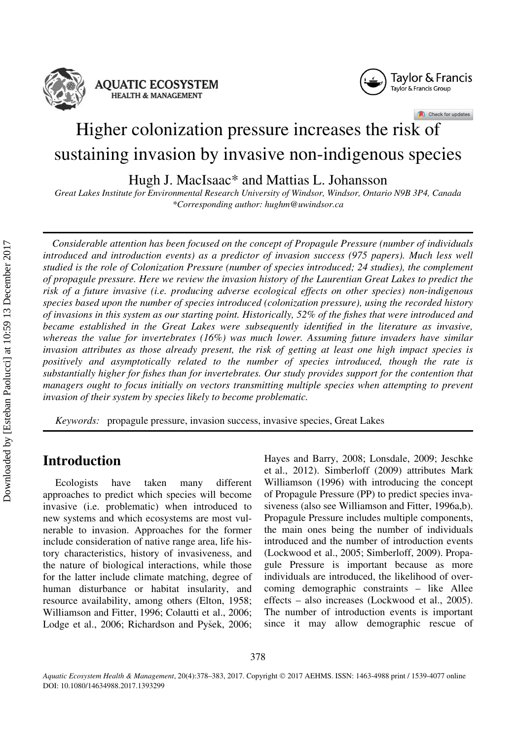

**AQUATIC ECOSYSTEM HEALTH & MANAGEMENT** 



Check for updates

# Higher colonization pressure increases the risk of sustaining invasion by invasive non-indigenous species

Hugh J. MacIsaac\* and Mattias L. Johansson

Great Lakes Institute for Environmental Research University of Windsor, Windsor, Ontario N9B 3P4, Canada \*Corresponding author: hughm@uwindsor.ca

Considerable attention has been focused on the concept of Propagule Pressure (number of individuals introduced and introduction events) as a predictor of invasion success (975 papers). Much less well studied is the role of Colonization Pressure (number of species introduced; 24 studies), the complement of propagule pressure. Here we review the invasion history of the Laurentian Great Lakes to predict the risk of a future invasive (i.e. producing adverse ecological effects on other species) non-indigenous species based upon the number of species introduced (colonization pressure), using the recorded history of invasions in this system as our starting point. Historically, 52% of the fishes that were introduced and became established in the Great Lakes were subsequently identified in the literature as invasive, whereas the value for invertebrates (16%) was much lower. Assuming future invaders have similar invasion attributes as those already present, the risk of getting at least one high impact species is positively and asymptotically related to the number of species introduced, though the rate is substantially higher for fishes than for invertebrates. Our study provides support for the contention that managers ought to focus initially on vectors transmitting multiple species when attempting to prevent invasion of their system by species likely to become problematic.

Keywords: propagule pressure, invasion success, invasive species, Great Lakes

## Introduction

Ecologists have taken many different approaches to predict which species will become invasive (i.e. problematic) when introduced to new systems and which ecosystems are most vulnerable to invasion. Approaches for the former include consideration of native range area, life history characteristics, history of invasiveness, and the nature of biological interactions, while those for the latter include climate matching, degree of human disturbance or habitat insularity, and resource availability, among others (Elton, 1958; Williamson and Fitter, 1996; Colautti et al., 2006; Lodge et al., 2006; Richardson and Pyšek, 2006; Hayes and Barry, 2008; Lonsdale, 2009; Jeschke et al., 2012). Simberloff (2009) attributes Mark Williamson (1996) with introducing the concept of Propagule Pressure (PP) to predict species invasiveness (also see Williamson and Fitter, 1996a,b). Propagule Pressure includes multiple components, the main ones being the number of individuals introduced and the number of introduction events (Lockwood et al., 2005; Simberloff, 2009). Propagule Pressure is important because as more individuals are introduced, the likelihood of overcoming demographic constraints – like Allee effects – also increases (Lockwood et al., 2005). The number of introduction events is important since it may allow demographic rescue of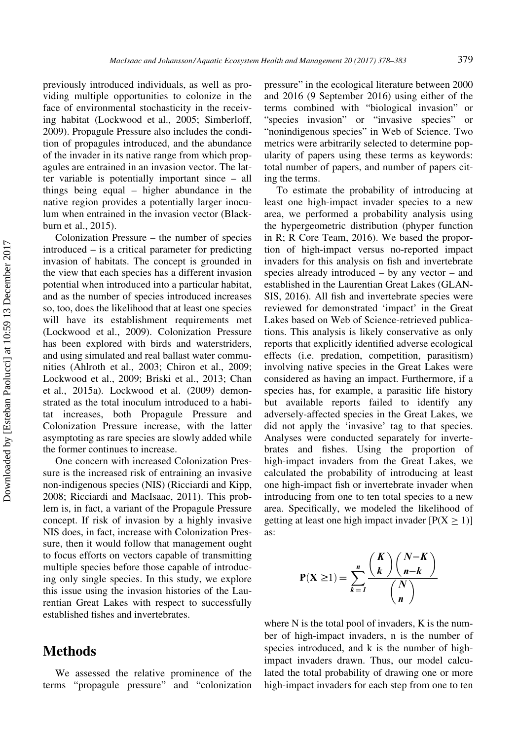previously introduced individuals, as well as providing multiple opportunities to colonize in the face of environmental stochasticity in the receiving habitat (Lockwood et al., 2005; Simberloff, 2009). Propagule Pressure also includes the condition of propagules introduced, and the abundance of the invader in its native range from which propagules are entrained in an invasion vector. The latter variable is potentially important since – all things being equal – higher abundance in the native region provides a potentially larger inoculum when entrained in the invasion vector (Blackburn et al., 2015).

Colonization Pressure – the number of species introduced – is a critical parameter for predicting invasion of habitats. The concept is grounded in the view that each species has a different invasion potential when introduced into a particular habitat, and as the number of species introduced increases so, too, does the likelihood that at least one species will have its establishment requirements met (Lockwood et al., 2009). Colonization Pressure has been explored with birds and waterstriders, and using simulated and real ballast water communities (Ahlroth et al., 2003; Chiron et al., 2009; Lockwood et al., 2009; Briski et al., 2013; Chan et al., 2015a). Lockwood et al. (2009) demonstrated as the total inoculum introduced to a habitat increases, both Propagule Pressure and Colonization Pressure increase, with the latter asymptoting as rare species are slowly added while the former continues to increase.

One concern with increased Colonization Pressure is the increased risk of entraining an invasive non-indigenous species (NIS) (Ricciardi and Kipp, 2008; Ricciardi and MacIsaac, 2011). This problem is, in fact, a variant of the Propagule Pressure concept. If risk of invasion by a highly invasive NIS does, in fact, increase with Colonization Pressure, then it would follow that management ought to focus efforts on vectors capable of transmitting multiple species before those capable of introducing only single species. In this study, we explore this issue using the invasion histories of the Laurentian Great Lakes with respect to successfully established fishes and invertebrates.

#### Methods

We assessed the relative prominence of the terms "propagule pressure" and "colonization pressure" in the ecological literature between 2000 and 2016 (9 September 2016) using either of the terms combined with "biological invasion" or "species invasion" or "invasive species" or "nonindigenous species" in Web of Science. Two metrics were arbitrarily selected to determine popularity of papers using these terms as keywords: total number of papers, and number of papers citing the terms.

To estimate the probability of introducing at least one high-impact invader species to a new area, we performed a probability analysis using the hypergeometric distribution (phyper function in R; R Core Team, 2016). We based the proportion of high-impact versus no-reported impact invaders for this analysis on fish and invertebrate species already introduced – by any vector – and established in the Laurentian Great Lakes (GLAN-SIS, 2016). All fish and invertebrate species were reviewed for demonstrated 'impact' in the Great Lakes based on Web of Science-retrieved publications. This analysis is likely conservative as only reports that explicitly identified adverse ecological effects (i.e. predation, competition, parasitism) involving native species in the Great Lakes were considered as having an impact. Furthermore, if a species has, for example, a parasitic life history but available reports failed to identify any adversely-affected species in the Great Lakes, we did not apply the 'invasive' tag to that species. Analyses were conducted separately for invertebrates and fishes. Using the proportion of high-impact invaders from the Great Lakes, we calculated the probability of introducing at least one high-impact fish or invertebrate invader when introducing from one to ten total species to a new area. Specifically, we modeled the likelihood of getting at least one high impact invader  $[P(X \ge 1)]$ as:

$$
P(X \ge 1) = \sum_{k=1}^{n} \frac{\binom{K}{k} \binom{N-K}{n-k}}{\binom{N}{n}}
$$

where N is the total pool of invaders, K is the number of high-impact invaders, n is the number of species introduced, and k is the number of highimpact invaders drawn. Thus, our model calculated the total probability of drawing one or more high-impact invaders for each step from one to ten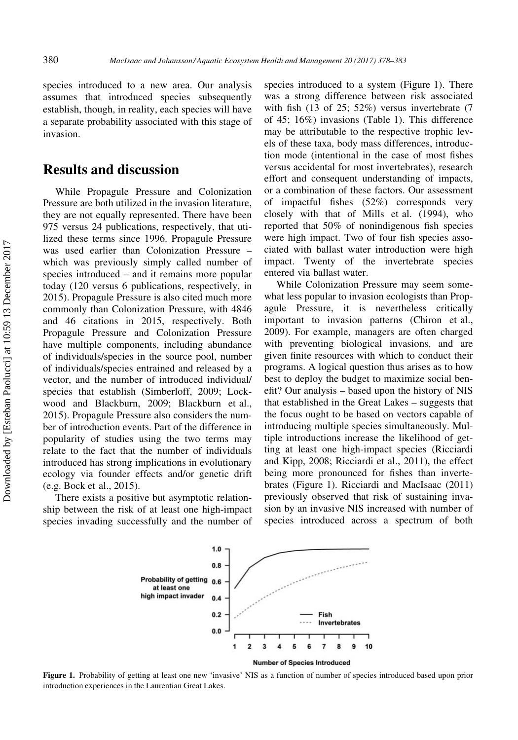species introduced to a new area. Our analysis assumes that introduced species subsequently establish, though, in reality, each species will have a separate probability associated with this stage of invasion.

## Results and discussion

While Propagule Pressure and Colonization Pressure are both utilized in the invasion literature, they are not equally represented. There have been 975 versus 24 publications, respectively, that utilized these terms since 1996. Propagule Pressure was used earlier than Colonization Pressure – which was previously simply called number of species introduced – and it remains more popular today (120 versus 6 publications, respectively, in 2015). Propagule Pressure is also cited much more commonly than Colonization Pressure, with 4846 and 46 citations in 2015, respectively. Both Propagule Pressure and Colonization Pressure have multiple components, including abundance of individuals/species in the source pool, number of individuals/species entrained and released by a vector, and the number of introduced individual/ species that establish (Simberloff, 2009; Lockwood and Blackburn, 2009; Blackburn et al., 2015). Propagule Pressure also considers the number of introduction events. Part of the difference in popularity of studies using the two terms may relate to the fact that the number of individuals introduced has strong implications in evolutionary ecology via founder effects and/or genetic drift (e.g. Bock et al., 2015).

There exists a positive but asymptotic relationship between the risk of at least one high-impact species invading successfully and the number of species introduced to a system (Figure 1). There was a strong difference between risk associated with fish (13 of 25; 52%) versus invertebrate (7 of 45; 16%) invasions (Table 1). This difference may be attributable to the respective trophic levels of these taxa, body mass differences, introduction mode (intentional in the case of most fishes versus accidental for most invertebrates), research effort and consequent understanding of impacts, or a combination of these factors. Our assessment of impactful fishes (52%) corresponds very closely with that of Mills et al. (1994), who reported that 50% of nonindigenous fish species were high impact. Two of four fish species associated with ballast water introduction were high impact. Twenty of the invertebrate species entered via ballast water.

While Colonization Pressure may seem somewhat less popular to invasion ecologists than Propagule Pressure, it is nevertheless critically important to invasion patterns (Chiron et al., 2009). For example, managers are often charged with preventing biological invasions, and are given finite resources with which to conduct their programs. A logical question thus arises as to how best to deploy the budget to maximize social benefit? Our analysis – based upon the history of NIS that established in the Great Lakes – suggests that the focus ought to be based on vectors capable of introducing multiple species simultaneously. Multiple introductions increase the likelihood of getting at least one high-impact species (Ricciardi and Kipp, 2008; Ricciardi et al., 2011), the effect being more pronounced for fishes than invertebrates (Figure 1). Ricciardi and MacIsaac (2011) previously observed that risk of sustaining invasion by an invasive NIS increased with number of species introduced across a spectrum of both



Figure 1. Probability of getting at least one new 'invasive' NIS as a function of number of species introduced based upon prior introduction experiences in the Laurentian Great Lakes.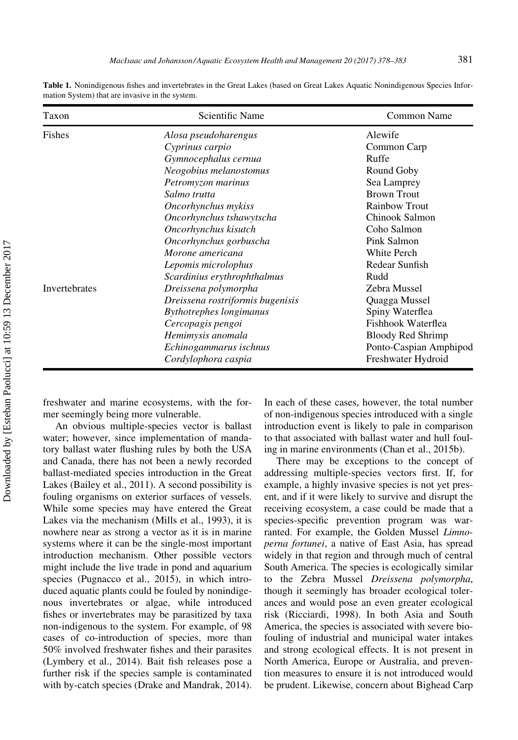| Taxon         | Scientific Name                  | Common Name            |
|---------------|----------------------------------|------------------------|
| <b>Fishes</b> | Alosa pseudoharengus             | Alewife                |
|               | Cyprinus carpio                  | Common Carp            |
|               | Gymnocephalus cernua             | Ruffe                  |
|               | Neogobius melanostomus           | Round Goby             |
|               | Petromyzon marinus               | Sea Lamprey            |
|               | Salmo trutta                     | <b>Brown Trout</b>     |
|               | Oncorhynchus mykiss              | <b>Rainbow Trout</b>   |
|               | Oncorhynchus tshawytscha         | Chinook Salmon         |
|               | Oncorhynchus kisutch             | Coho Salmon            |
|               | Oncorhynchus gorbuscha           | Pink Salmon            |
|               | Morone americana                 | White Perch            |
|               | Lepomis microlophus              | Redear Sunfish         |
|               | Scardinius erythrophthalmus      | Rudd                   |
| Invertebrates | Dreissena polymorpha             | Zebra Mussel           |
|               | Dreissena rostriformis bugenisis | Quagga Mussel          |
|               | <b>Bythotrephes longimanus</b>   | Spiny Waterflea        |
|               | Cercopagis pengoi                | Fishhook Waterflea     |
|               | Hemimysis anomala                | Bloody Red Shrimp      |
|               | Echinogammarus ischnus           | Ponto-Caspian Amphipod |
|               | Cordylophora caspia              | Freshwater Hydroid     |

Table 1. Nonindigenous fishes and invertebrates in the Great Lakes (based on Great Lakes Aquatic Nonindigenous Species Information System) that are invasive in the system.

freshwater and marine ecosystems, with the former seemingly being more vulnerable.

An obvious multiple-species vector is ballast water; however, since implementation of mandatory ballast water flushing rules by both the USA and Canada, there has not been a newly recorded ballast-mediated species introduction in the Great Lakes (Bailey et al., 2011). A second possibility is fouling organisms on exterior surfaces of vessels. While some species may have entered the Great Lakes via the mechanism (Mills et al., 1993), it is nowhere near as strong a vector as it is in marine systems where it can be the single-most important introduction mechanism. Other possible vectors might include the live trade in pond and aquarium species (Pugnacco et al., 2015), in which introduced aquatic plants could be fouled by nonindigenous invertebrates or algae, while introduced fishes or invertebrates may be parasitized by taxa non-indigenous to the system. For example, of 98 cases of co-introduction of species, more than 50% involved freshwater fishes and their parasites (Lymbery et al., 2014). Bait fish releases pose a further risk if the species sample is contaminated with by-catch species (Drake and Mandrak, 2014). In each of these cases, however, the total number of non-indigenous species introduced with a single introduction event is likely to pale in comparison to that associated with ballast water and hull fouling in marine environments (Chan et al., 2015b).

There may be exceptions to the concept of addressing multiple-species vectors first. If, for example, a highly invasive species is not yet present, and if it were likely to survive and disrupt the receiving ecosystem, a case could be made that a species-specific prevention program was warranted. For example, the Golden Mussel Limnoperna fortunei, a native of East Asia, has spread widely in that region and through much of central South America. The species is ecologically similar to the Zebra Mussel Dreissena polymorpha, though it seemingly has broader ecological tolerances and would pose an even greater ecological risk (Ricciardi, 1998). In both Asia and South America, the species is associated with severe biofouling of industrial and municipal water intakes and strong ecological effects. It is not present in North America, Europe or Australia, and prevention measures to ensure it is not introduced would be prudent. Likewise, concern about Bighead Carp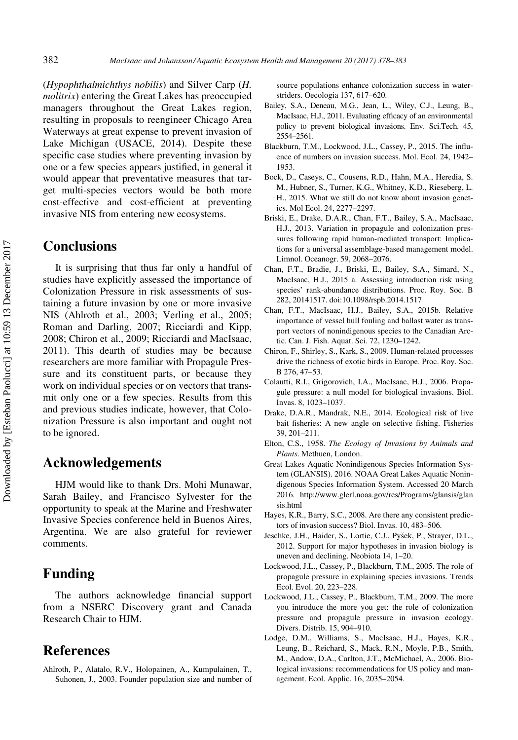(Hypophthalmichthys nobilis) and Silver Carp (H. molitrix) entering the Great Lakes has preoccupied managers throughout the Great Lakes region, resulting in proposals to reengineer Chicago Area Waterways at great expense to prevent invasion of Lake Michigan (USACE, 2014). Despite these specific case studies where preventing invasion by one or a few species appears justified, in general it would appear that preventative measures that target multi-species vectors would be both more cost-effective and cost-efficient at preventing invasive NIS from entering new ecosystems.

### **Conclusions**

It is surprising that thus far only a handful of studies have explicitly assessed the importance of Colonization Pressure in risk assessments of sustaining a future invasion by one or more invasive NIS (Ahlroth et al., 2003; Verling et al., 2005; Roman and Darling, 2007; Ricciardi and Kipp, 2008; Chiron et al., 2009; Ricciardi and MacIsaac, 2011). This dearth of studies may be because researchers are more familiar with Propagule Pressure and its constituent parts, or because they work on individual species or on vectors that transmit only one or a few species. Results from this and previous studies indicate, however, that Colonization Pressure is also important and ought not to be ignored.

## Acknowledgements

HJM would like to thank Drs. Mohi Munawar, Sarah Bailey, and Francisco Sylvester for the opportunity to speak at the Marine and Freshwater Invasive Species conference held in Buenos Aires, Argentina. We are also grateful for reviewer comments.

## Funding

The authors acknowledge financial support from a NSERC Discovery grant and Canada Research Chair to HJM.

### References

Ahlroth, P., Alatalo, R.V., Holopainen, A., Kumpulainen, T., Suhonen, J., 2003. Founder population size and number of source populations enhance colonization success in waterstriders. Oecologia 137, 617–620.

- Bailey, S.A., Deneau, M.G., Jean, L., Wiley, C.J., Leung, B., MacIsaac, H.J., 2011. Evaluating efficacy of an environmental policy to prevent biological invasions. Env. Sci.Tech. 45, 2554–2561.
- Blackburn, T.M., Lockwood, J.L., Cassey, P., 2015. The influence of numbers on invasion success. Mol. Ecol. 24, 1942– 1953.
- Bock, D., Caseys, C., Cousens, R.D., Hahn, M.A., Heredia, S. M., Hubner, S., Turner, K.G., Whitney, K.D., Rieseberg, L. H., 2015. What we still do not know about invasion genetics. Mol Ecol. 24, 2277–2297.
- Briski, E., Drake, D.A.R., Chan, F.T., Bailey, S.A., MacIsaac, H.J., 2013. Variation in propagule and colonization pressures following rapid human-mediated transport: Implications for a universal assemblage-based management model. Limnol. Oceanogr. 59, 2068–2076.
- Chan, F.T., Bradie, J., Briski, E., Bailey, S.A., Simard, N., MacIsaac, H.J., 2015 a. Assessing introduction risk using species' rank-abundance distributions. Proc. Roy. Soc. B 282, 20141517. doi:10.1098/rspb.2014.1517
- Chan, F.T., MacIsaac, H.J., Bailey, S.A., 2015b. Relative importance of vessel hull fouling and ballast water as transport vectors of nonindigenous species to the Canadian Arctic. Can. J. Fish. Aquat. Sci. 72, 1230–1242.
- Chiron, F., Shirley, S., Kark, S., 2009. Human-related processes drive the richness of exotic birds in Europe. Proc. Roy. Soc. B 276, 47–53.
- Colautti, R.I., Grigorovich, I.A., MacIsaac, H.J., 2006. Propagule pressure: a null model for biological invasions. Biol. Invas. 8, 1023–1037.
- Drake, D.A.R., Mandrak, N.E., 2014. Ecological risk of live bait fisheries: A new angle on selective fishing. Fisheries 39, 201–211.
- Elton, C.S., 1958. The Ecology of Invasions by Animals and Plants. Methuen, London.
- Great Lakes Aquatic Nonindigenous Species Information System (GLANSIS). 2016. NOAA Great Lakes Aquatic Nonindigenous Species Information System. Accessed 20 March 2016. [http://www.glerl.noaa.gov/res/Programs/glansis/glan](http://www.glerl.noaa.gov/res/Programs/glansis/glansis.html) [sis.html](http://www.glerl.noaa.gov/res/Programs/glansis/glansis.html)
- Hayes, K.R., Barry, S.C., 2008. Are there any consistent predictors of invasion success? Biol. Invas. 10, 483–506.
- Jeschke, J.H., Haider, S., Lortie, C.J., Pysek, P., Strayer, D.L., 2012. Support for major hypotheses in invasion biology is uneven and declining. Neobiota 14, 1–20.
- Lockwood, J.L., Cassey, P., Blackburn, T.M., 2005. The role of propagule pressure in explaining species invasions. Trends Ecol. Evol. 20, 223–228.
- Lockwood, J.L., Cassey, P., Blackburn, T.M., 2009. The more you introduce the more you get: the role of colonization pressure and propagule pressure in invasion ecology. Divers. Distrib. 15, 904–910.
- Lodge, D.M., Williams, S., MacIsaac, H.J., Hayes, K.R., Leung, B., Reichard, S., Mack, R.N., Moyle, P.B., Smith, M., Andow, D.A., Carlton, J.T., McMichael, A., 2006. Biological invasions: recommendations for US policy and management. Ecol. Applic. 16, 2035–2054.